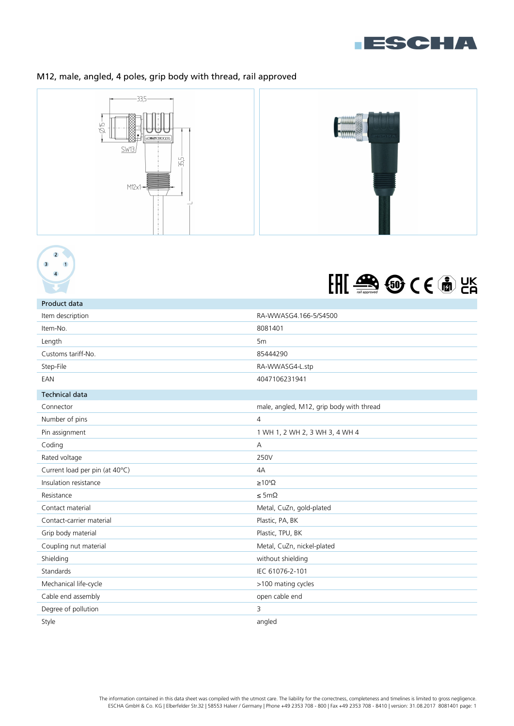

## M12, male, angled, 4 poles, grip body with thread, rail approved







| Product data                   |                                          |
|--------------------------------|------------------------------------------|
| Item description               | RA-WWASG4.166-5/S4500                    |
| Item-No.                       | 8081401                                  |
| Length                         | 5 <sub>m</sub>                           |
| Customs tariff-No.             | 85444290                                 |
| Step-File                      | RA-WWASG4-L.stp                          |
| EAN                            | 4047106231941                            |
| <b>Technical data</b>          |                                          |
| Connector                      | male, angled, M12, grip body with thread |
| Number of pins                 | $\overline{4}$                           |
| Pin assignment                 | 1 WH 1, 2 WH 2, 3 WH 3, 4 WH 4           |
| Coding                         | $\overline{A}$                           |
| Rated voltage                  | 250V                                     |
| Current load per pin (at 40°C) | 4A                                       |
| Insulation resistance          | $\geq 10^8 \Omega$                       |
| Resistance                     | $\leq$ 5m $\Omega$                       |
| Contact material               | Metal, CuZn, gold-plated                 |
| Contact-carrier material       | Plastic, PA, BK                          |
| Grip body material             | Plastic, TPU, BK                         |
| Coupling nut material          | Metal, CuZn, nickel-plated               |
| Shielding                      | without shielding                        |
| Standards                      | IEC 61076-2-101                          |
| Mechanical life-cycle          | >100 mating cycles                       |
| Cable end assembly             | open cable end                           |
| Degree of pollution            | 3                                        |
| Style                          | angled                                   |